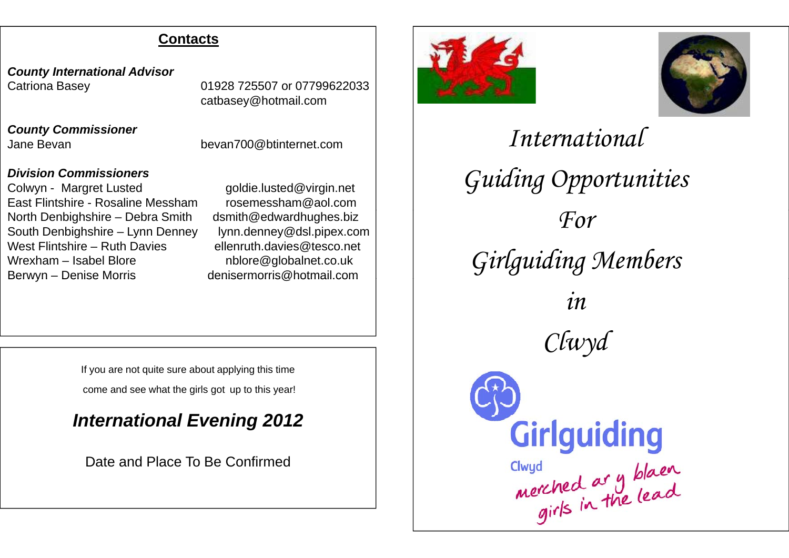### **Contacts**

*County International Advisor* Catriona Basey 01928 725507 or 07799622033

*County Commissioner* Jane Bevan

Jane Bevan bevan bevan bevan bevant of the Jane Bevan bevan bevan bevant of the L

catbasey@hotmail.com

#### *Division Commissioners*

Colwyn - Margret Lusted goldie.lusted@virgin.net East Flintshire - Rosaline Messham rosemessham@aol.comNorth Denbighshire – Debra Smith dsmith@edwardhughes.biz South Denbighshire – Lynn Denney lynn.denney@dsl.pipex.com West Flintshire – Ruth Davies ellenruth.davies@tesco.net Wrexham – Isabel Blore nblore@globalnet.co.uk Berwyn - Denise Morris

denisermorris@hotmail.com

If you are not quite sure about applying this time

come and see what the girls got up to this year!

# *I t ti l E i 2012 International Evening*

Date and Place To Be Confirmed





*International Guiding Opportunities For Girlguiding Members in Clwyd* Girlguiding Clwyd<br>merched ar y blaen<br>girls in the lead